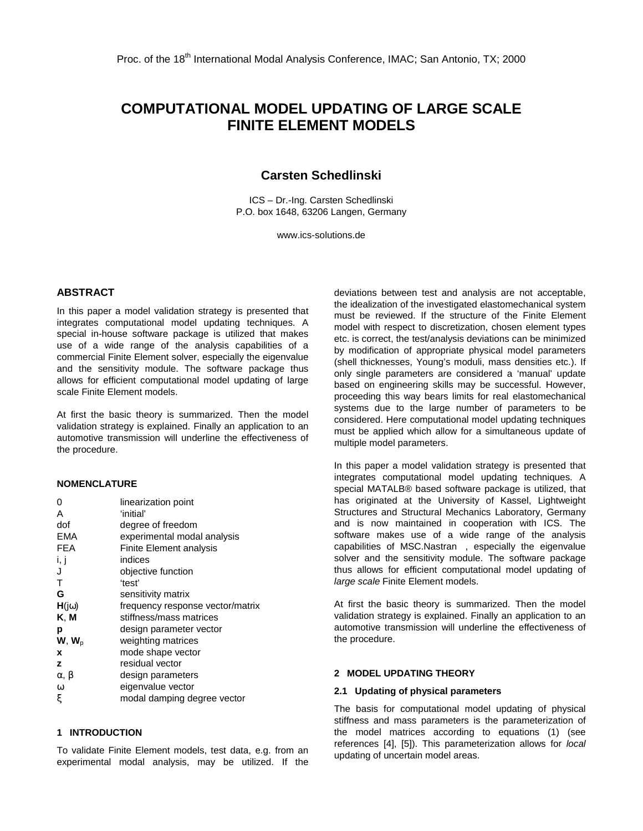# **COMPUTATIONAL MODEL UPDATING OF LARGE SCALE FINITE ELEMENT MODELS**

# **Carsten Schedlinski**

ICS – Dr.-Ing. Carsten Schedlinski P.O. box 1648, 63206 Langen, Germany

www.ics-solutions.de

## **ABSTRACT**

In this paper a model validation strategy is presented that integrates computational model updating techniques. A special in-house software package is utilized that makes use of a wide range of the analysis capabilities of a commercial Finite Element solver, especially the eigenvalue and the sensitivity module. The software package thus allows for efficient computational model updating of large scale Finite Element models.

At first the basic theory is summarized. Then the model validation strategy is explained. Finally an application to an automotive transmission will underline the effectiveness of the procedure.

## **NOMENCLATURE**

| 0                  | linearization point              |
|--------------------|----------------------------------|
| A                  | 'initial'                        |
| dof                | degree of freedom                |
| <b>EMA</b>         | experimental modal analysis      |
| <b>FEA</b>         | <b>Finite Element analysis</b>   |
| i, j               | indices                          |
| J                  | objective function               |
| т                  | 'test'                           |
| G                  | sensitivity matrix               |
| $H(j\omega)$       | frequency response vector/matrix |
| K, M               | stiffness/mass matrices          |
| р                  | design parameter vector          |
| $W, W_{D}$         | weighting matrices               |
| x                  | mode shape vector                |
| z                  | residual vector                  |
| $\alpha$ , $\beta$ | design parameters                |
| $\omega$           | eigenvalue vector                |
| ξ                  | modal damping degree vector      |

## **1 INTRODUCTION**

To validate Finite Element models, test data, e.g. from an experimental modal analysis, may be utilized. If the

deviations between test and analysis are not acceptable, the idealization of the investigated elastomechanical system must be reviewed. If the structure of the Finite Element model with respect to discretization, chosen element types etc. is correct, the test/analysis deviations can be minimized by modification of appropriate physical model parameters (shell thicknesses, Young's moduli, mass densities etc.). If only single parameters are considered a 'manual' update based on engineering skills may be successful. However, proceeding this way bears limits for real elastomechanical systems due to the large number of parameters to be considered. Here computational model updating techniques must be applied which allow for a simultaneous update of multiple model parameters.

In this paper a model validation strategy is presented that integrates computational model updating techniques. A special MATALB® based software package is utilized, that has originated at the University of Kassel, Lightweight Structures and Structural Mechanics Laboratory, Germany and is now maintained in cooperation with ICS. The software makes use of a wide range of the analysis capabilities of MSC.Nastran™, especially the eigenvalue solver and the sensitivity module. The software package thus allows for efficient computational model updating of large scale Finite Element models.

At first the basic theory is summarized. Then the model validation strategy is explained. Finally an application to an automotive transmission will underline the effectiveness of the procedure.

#### **2 MODEL UPDATING THEORY**

#### **2.1 Updating of physical parameters**

The basis for computational model updating of physical stiffness and mass parameters is the parameterization of the model matrices according to equations (1) (see references [4], [5]). This parameterization allows for local updating of uncertain model areas.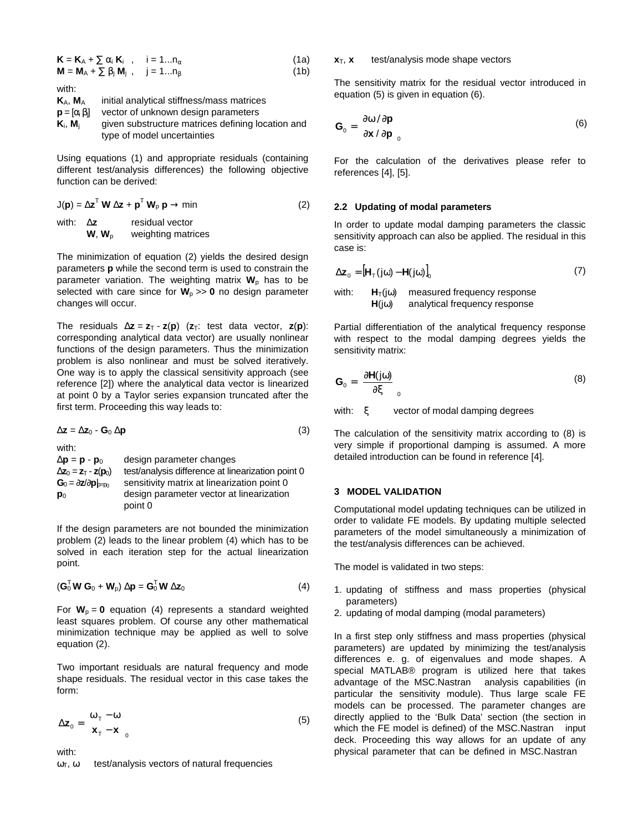$$
\mathbf{K} = \mathbf{K}_{A} + \sum \alpha_{i} \mathbf{K}_{i} , \quad i = 1...n_{\alpha}
$$
 (1a)

 $M = M_A + \sum \beta_i M_i$ , j = 1...n<sub>B</sub> (1b) with:

**K**A, **M**<sup>A</sup> initial analytical stiffness/mass matrices **p** =  $[\alpha_i \beta_i]$ vector of unknown design parameters **K**<sub>i</sub>, **M**<sub>i</sub> given substructure matrices defining location and type of model uncertainties

Using equations (1) and appropriate residuals (containing different test/analysis differences) the following objective function can be derived:

$$
J(\mathbf{p}) = \Delta \mathbf{z}^T \mathbf{W} \Delta \mathbf{z} + \mathbf{p}^T \mathbf{W}_p \mathbf{p} \rightarrow \min
$$
 (2)

with: ∆**z** residual vector  $W_1$ ,  $W_2$  weighting matrices

The minimization of equation (2) yields the desired design parameters **p** while the second term is used to constrain the parameter variation. The weighting matrix  $W_p$  has to be selected with care since for  $W_p \gg 0$  no design parameter changes will occur.

The residuals  $\Delta z = z_T - z(p)$  ( $z_T$ : test data vector,  $z(p)$ ): corresponding analytical data vector) are usually nonlinear functions of the design parameters. Thus the minimization problem is also nonlinear and must be solved iteratively. One way is to apply the classical sensitivity approach (see reference [2]) where the analytical data vector is linearized at point 0 by a Taylor series expansion truncated after the first term. Proceeding this way leads to:

$$
\Delta z = \Delta z_0 - G_0 \Delta p \tag{3}
$$

with: ∆**p** = **p** - **p**<sup>0</sup> design parameter changes  $\Delta$ **z**<sub>0</sub> = **z**<sub>T</sub> - **z**(**p**<sub>0</sub>) test/analysis difference at linearization point 0<br>**G**<sub>0</sub> = ∂**z**/∂**p**<sub>b=∞</sub> sensitivity matrix at linearization point 0 **Sensitivity matrix at linearization point 0 p**<sub>0</sub> design parameter vector at linearization point 0

If the design parameters are not bounded the minimization problem (2) leads to the linear problem (4) which has to be solved in each iteration step for the actual linearization point.

$$
(\mathbf{G}_0^{\mathsf{T}} \mathbf{W} \mathbf{G}_0 + \mathbf{W}_p) \Delta \mathbf{p} = \mathbf{G}_0^{\mathsf{T}} \mathbf{W} \Delta \mathbf{z}_0
$$
 (4)

For  $W_p = 0$  equation (4) represents a standard weighted least squares problem. Of course any other mathematical minimization technique may be applied as well to solve equation (2).

Two important residuals are natural frequency and mode shape residuals. The residual vector in this case takes the form:

$$
\Delta z_0 = \begin{bmatrix} \omega_{\tau} - \omega \\ x_{\tau} - x \end{bmatrix}_0 \tag{5}
$$

with:

 $ω<sub>T</sub>$ , ω test/analysis vectors of natural frequencies

#### $x_T$ ,  $x$  test/analysis mode shape vectors

The sensitivity matrix for the residual vector introduced in equation (5) is given in equation (6).

$$
\mathbf{G}_0 = \begin{bmatrix} \partial \omega / \partial \mathbf{p} \\ \partial \mathbf{x} / \partial \mathbf{p} \end{bmatrix}_0
$$
 (6)

For the calculation of the derivatives please refer to references [4], [5].

## **2.2 Updating of modal parameters**

In order to update modal damping parameters the classic sensitivity approach can also be applied. The residual in this case is:

$$
\Delta \mathbf{z}_0 = \left[ \mathbf{H}_T(j\omega) - \mathbf{H}(j\omega) \right]_0 \tag{7}
$$

with: 
$$
H_T(j\omega)
$$
 measured frequency response  $H(j\omega)$  analytical frequency response

Partial differentiation of the analytical frequency response with respect to the modal damping degrees yields the sensitivity matrix:

$$
\mathbf{G}_0 = \left[\frac{\partial \mathbf{H}(j\omega)}{\partial \xi}\right]_0 \tag{8}
$$

with: ξ vector of modal damping degrees

The calculation of the sensitivity matrix according to (8) is very simple if proportional damping is assumed. A more detailed introduction can be found in reference [4].

## **3 MODEL VALIDATION**

Computational model updating techniques can be utilized in order to validate FE models. By updating multiple selected parameters of the model simultaneously a minimization of the test/analysis differences can be achieved.

The model is validated in two steps:

- 1. updating of stiffness and mass properties (physical parameters)
- 2. updating of modal damping (modal parameters)

In a first step only stiffness and mass properties (physical parameters) are updated by minimizing the test/analysis differences e. g. of eigenvalues and mode shapes. A special MATLAB® program is utilized here that takes advantage of the MSC.Nastran<sup>TM</sup> analysis capabilities (in particular the sensitivity module). Thus large scale FE models can be processed. The parameter changes are directly applied to the 'Bulk Data' section (the section in which the FE model is defined) of the MSC.Nastran<sup>TM</sup> input deck. Proceeding this way allows for an update of any physical parameter that can be defined in MSC.Nastran™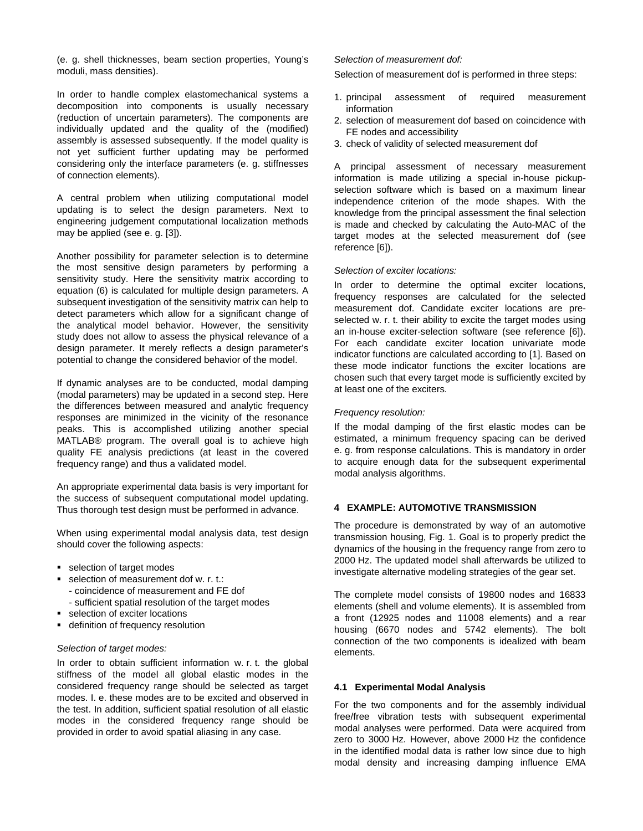(e. g. shell thicknesses, beam section properties, Young's moduli, mass densities).

In order to handle complex elastomechanical systems a decomposition into components is usually necessary (reduction of uncertain parameters). The components are individually updated and the quality of the (modified) assembly is assessed subsequently. If the model quality is not yet sufficient further updating may be performed considering only the interface parameters (e. g. stiffnesses of connection elements).

A central problem when utilizing computational model updating is to select the design parameters. Next to engineering judgement computational localization methods may be applied (see e. g. [3]).

Another possibility for parameter selection is to determine the most sensitive design parameters by performing a sensitivity study. Here the sensitivity matrix according to equation (6) is calculated for multiple design parameters. A subsequent investigation of the sensitivity matrix can help to detect parameters which allow for a significant change of the analytical model behavior. However, the sensitivity study does not allow to assess the physical relevance of a design parameter. It merely reflects a design parameter's potential to change the considered behavior of the model.

If dynamic analyses are to be conducted, modal damping (modal parameters) may be updated in a second step. Here the differences between measured and analytic frequency responses are minimized in the vicinity of the resonance peaks. This is accomplished utilizing another special MATLAB® program. The overall goal is to achieve high quality FE analysis predictions (at least in the covered frequency range) and thus a validated model.

An appropriate experimental data basis is very important for the success of subsequent computational model updating. Thus thorough test design must be performed in advance.

When using experimental modal analysis data, test design should cover the following aspects:

- **selection of target modes**
- selection of measurement dof w. r. t.:
	- coincidence of measurement and FE dof
	- sufficient spatial resolution of the target modes
- **selection of exciter locations**
- **definition of frequency resolution**

#### Selection of target modes:

In order to obtain sufficient information w. r. t. the global stiffness of the model all global elastic modes in the considered frequency range should be selected as target modes. I. e. these modes are to be excited and observed in the test. In addition, sufficient spatial resolution of all elastic modes in the considered frequency range should be provided in order to avoid spatial aliasing in any case.

#### Selection of measurement dof:

Selection of measurement dof is performed in three steps:

- 1. principal assessment of required measurement information
- 2. selection of measurement dof based on coincidence with FE nodes and accessibility
- 3. check of validity of selected measurement dof

A principal assessment of necessary measurement information is made utilizing a special in-house pickupselection software which is based on a maximum linear independence criterion of the mode shapes. With the knowledge from the principal assessment the final selection is made and checked by calculating the Auto-MAC of the target modes at the selected measurement dof (see reference [6]).

#### Selection of exciter locations:

In order to determine the optimal exciter locations, frequency responses are calculated for the selected measurement dof. Candidate exciter locations are preselected w. r. t. their ability to excite the target modes using an in-house exciter-selection software (see reference [6]). For each candidate exciter location univariate mode indicator functions are calculated according to [1]. Based on these mode indicator functions the exciter locations are chosen such that every target mode is sufficiently excited by at least one of the exciters.

#### Frequency resolution:

If the modal damping of the first elastic modes can be estimated, a minimum frequency spacing can be derived e. g. from response calculations. This is mandatory in order to acquire enough data for the subsequent experimental modal analysis algorithms.

## **4 EXAMPLE: AUTOMOTIVE TRANSMISSION**

The procedure is demonstrated by way of an automotive transmission housing, Fig. 1. Goal is to properly predict the dynamics of the housing in the frequency range from zero to 2000 Hz. The updated model shall afterwards be utilized to investigate alternative modeling strategies of the gear set.

The complete model consists of 19800 nodes and 16833 elements (shell and volume elements). It is assembled from a front (12925 nodes and 11008 elements) and a rear housing (6670 nodes and 5742 elements). The bolt connection of the two components is idealized with beam elements.

## **4.1 Experimental Modal Analysis**

For the two components and for the assembly individual free/free vibration tests with subsequent experimental modal analyses were performed. Data were acquired from zero to 3000 Hz. However, above 2000 Hz the confidence in the identified modal data is rather low since due to high modal density and increasing damping influence EMA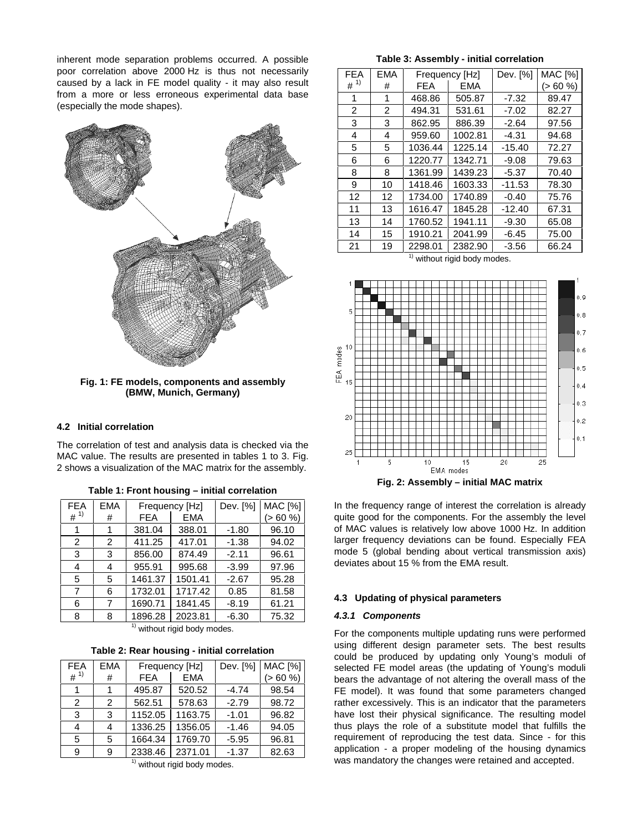inherent mode separation problems occurred. A possible poor correlation above 2000 Hz is thus not necessarily caused by a lack in FE model quality - it may also result from a more or less erroneous experimental data base (especially the mode shapes).



**Fig. 1: FE models, components and assembly (BMW, Munich, Germany)**

## **4.2 Initial correlation**

The correlation of test and analysis data is checked via the MAC value. The results are presented in tables 1 to 3. Fig. 2 shows a visualization of the MAC matrix for the assembly.

| <b>FEA</b>     | <b>EMA</b> |            | Frequency [Hz] | Dev. [%] | <b>MAC</b> [%] |
|----------------|------------|------------|----------------|----------|----------------|
| $#^{1)}$       | #          | <b>FEA</b> | <b>EMA</b>     |          | (> 60 %        |
| 1              | 1          | 381.04     | 388.01         | $-1.80$  | 96.10          |
| 2              | 2          | 411.25     | 417.01         | $-1.38$  | 94.02          |
| 3              | 3          | 856.00     | 874.49         | $-2.11$  | 96.61          |
| 4              | 4          | 955.91     | 995.68         | $-3.99$  | 97.96          |
| 5              | 5          | 1461.37    | 1501.41        | $-2.67$  | 95.28          |
| $\overline{7}$ | 6          | 1732.01    | 1717.42        | 0.85     | 81.58          |
| 6              | 7          | 1690.71    | 1841.45        | $-8.19$  | 61.21          |
| 8              | 8          | 1896.28    | 2023.81        | $-6.30$  | 75.32          |

| Table 1: Front housing - initial correlation |  |  |  |
|----------------------------------------------|--|--|--|
|----------------------------------------------|--|--|--|

 $1)$  without rigid body modes.

**Table 2: Rear housing - initial correlation**

| <b>FEA</b> | <b>EMA</b> | Frequency [Hz] |            | Dev. [%] | <b>MAC [%]</b> |
|------------|------------|----------------|------------|----------|----------------|
| $#^{1)}$   | #          | <b>FEA</b>     | <b>EMA</b> |          | (> 60 %)       |
|            |            | 495.87         | 520.52     | $-4.74$  | 98.54          |
| 2          | 2          | 562.51         | 578.63     | $-2.79$  | 98.72          |
| 3          | 3          | 1152.05        | 1163.75    | $-1.01$  | 96.82          |
| 4          |            | 1336.25        | 1356.05    | $-1.46$  | 94.05          |
| 5          | 5          | 1664.34        | 1769.70    | $-5.95$  | 96.81          |
| 9          | 9          | 2338.46        | 2371.01    | $-1.37$  | 82.63          |
|            |            |                |            |          |                |

 $1)$  without rigid body modes.

**Table 3: Assembly - initial correlation**

| FFA            | <b>FMA</b>    | Frequency [Hz] |            | Dev. [%] | <b>MAC [%]</b> |  |  |  |  |
|----------------|---------------|----------------|------------|----------|----------------|--|--|--|--|
| $#^{1)}$       | #             | <b>FEA</b>     | <b>EMA</b> |          | (>60%          |  |  |  |  |
| 1              | 1             | 468.86         | 505.87     | $-7.32$  | 89.47          |  |  |  |  |
| $\overline{2}$ | $\mathcal{P}$ | 494.31         | 531.61     | $-7.02$  | 82.27          |  |  |  |  |
| 3              | 3             | 862.95         | 886.39     | $-2.64$  | 97.56          |  |  |  |  |
| 4              | 4             | 959.60         | 1002.81    | -4.31    | 94.68          |  |  |  |  |
| 5              | 5             | 1036.44        | 1225.14    | $-15.40$ | 72.27          |  |  |  |  |
| 6              | 6             | 1220.77        | 1342.71    | $-9.08$  | 79.63          |  |  |  |  |
| 8              | 8             | 1361.99        | 1439.23    | $-5.37$  | 70.40          |  |  |  |  |
| 9              | 10            | 1418.46        | 1603.33    | $-11.53$ | 78.30          |  |  |  |  |
| 12             | 12            | 1734.00        | 1740.89    | $-0.40$  | 75.76          |  |  |  |  |
| 11             | 13            | 1616.47        | 1845.28    | $-12.40$ | 67.31          |  |  |  |  |
| 13             | 14            | 1760.52        | 1941.11    | $-9.30$  | 65.08          |  |  |  |  |
| 14             | 15            | 1910.21        | 2041.99    | $-6.45$  | 75.00          |  |  |  |  |
| 21             | 19            | 2298.01        | 2382.90    | $-3.56$  | 66.24          |  |  |  |  |

 $1)$  without rigid body modes.



In the frequency range of interest the correlation is already

quite good for the components. For the assembly the level of MAC values is relatively low above 1000 Hz. In addition larger frequency deviations can be found. Especially FEA mode 5 (global bending about vertical transmission axis) deviates about 15 % from the EMA result.

#### **4.3 Updating of physical parameters**

#### **4.3.1 Components**

For the components multiple updating runs were performed using different design parameter sets. The best results could be produced by updating only Young's moduli of selected FE model areas (the updating of Young's moduli bears the advantage of not altering the overall mass of the FE model). It was found that some parameters changed rather excessively. This is an indicator that the parameters have lost their physical significance. The resulting model thus plays the role of a substitute model that fulfills the requirement of reproducing the test data. Since - for this application - a proper modeling of the housing dynamics was mandatory the changes were retained and accepted.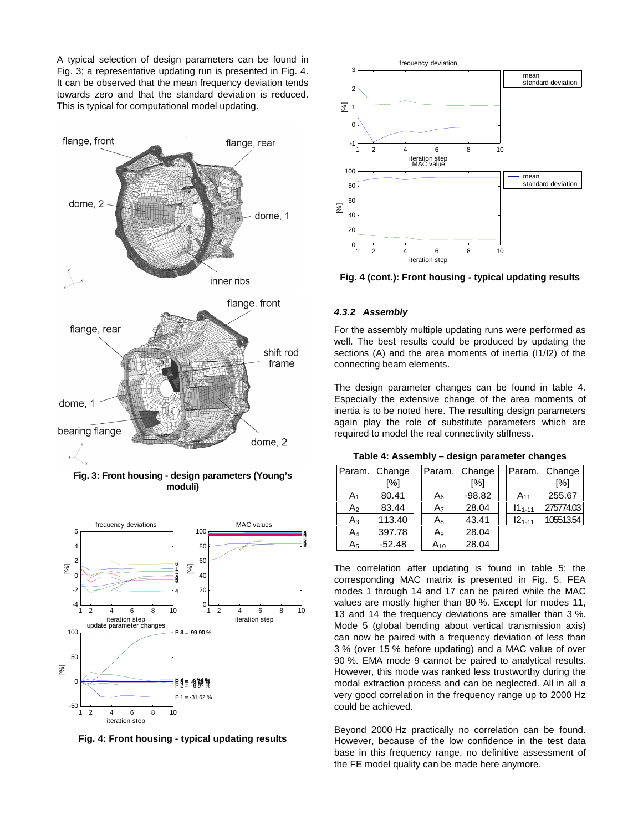A typical selection of design parameters can be found in Fig. 3; a representative updating run is presented in Fig. 4. It can be observed that the mean frequency deviation tends towards zero and that the standard deviation is reduced. This is typical for computational model updating.



**Fig. 3: Front housing - design parameters (Young's moduli)**



**Fig. 4: Front housing - typical updating results**



**Fig. 4 (cont.): Front housing - typical updating results**

#### **4.3.2 Assembly**

For the assembly multiple updating runs were performed as well. The best results could be produced by updating the sections (A) and the area moments of inertia (I1/I2) of the connecting beam elements.

The design parameter changes can be found in table 4. Especially the extensive change of the area moments of inertia is to be noted here. The resulting design parameters again play the role of substitute parameters which are required to model the real connectivity stiffness.

|                | Param. Change |                | Param. Change |             | Param. Change |
|----------------|---------------|----------------|---------------|-------------|---------------|
|                | [%]           |                | [%]           |             | [%]           |
| A <sub>1</sub> | 80.41         | A <sub>6</sub> | $-98.82$      | $A_{11}$    | 255.67        |
| A <sub>2</sub> | 83.44         | A <sub>7</sub> | 28.04         | $11_{1-11}$ | 275774.03     |
| A3             | 113.40        | A8             | 43.41         | $121 - 11$  | 105513.54     |
| A4             | 397.78        | Ag             | 28.04         |             |               |
| A <sub>5</sub> | $-52.48$      | $A_{10}$       | 28.04         |             |               |

**Table 4: Assembly – design parameter changes**

The correlation after updating is found in table 5; the corresponding MAC matrix is presented in Fig. 5. FEA modes 1 through 14 and 17 can be paired while the MAC values are mostly higher than 80 %. Except for modes 11, 13 and 14 the frequency deviations are smaller than 3 %. Mode 5 (global bending about vertical transmission axis) can now be paired with a frequency deviation of less than 3 % (over 15 % before updating) and a MAC value of over 90 %. EMA mode 9 cannot be paired to analytical results. However, this mode was ranked less trustworthy during the modal extraction process and can be neglected. All in all a very good correlation in the frequency range up to 2000 Hz could be achieved.

Beyond 2000 Hz practically no correlation can be found. However, because of the low confidence in the test data base in this frequency range, no definitive assessment of the FE model quality can be made here anymore.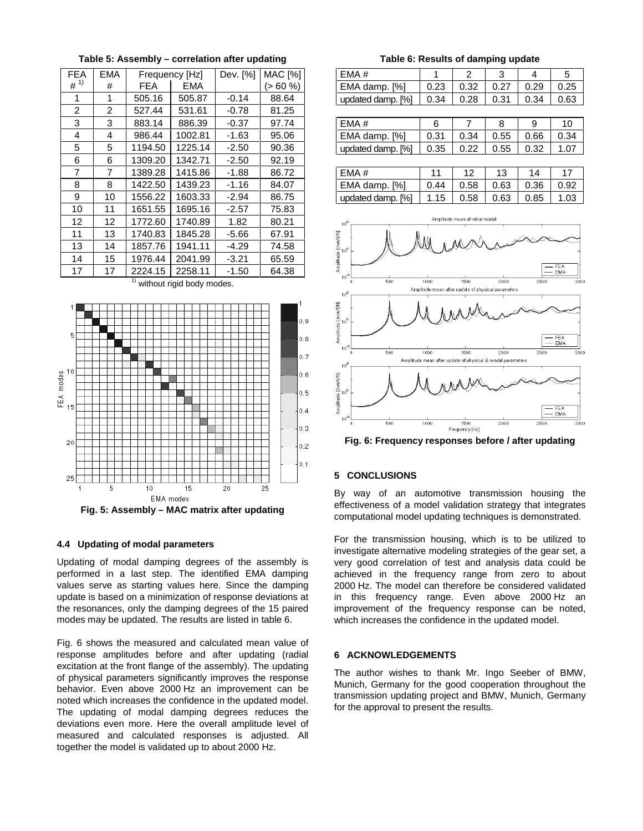| <b>FEA</b>     | EMA |            | Frequency [Hz] | Dev. [%] | <b>MAC [%]</b> |
|----------------|-----|------------|----------------|----------|----------------|
| $#^{1)}$       | #   | <b>FEA</b> | EMA            |          | (> 60 %)       |
| 1              | 1   | 505.16     | 505.87         | $-0.14$  | 88.64          |
| $\overline{2}$ | 2   | 527.44     | 531.61         | $-0.78$  | 81.25          |
| 3              | 3   | 883.14     | 886.39         | $-0.37$  | 97.74          |
| 4              | 4   | 986.44     | 1002.81        | $-1.63$  | 95.06          |
| 5              | 5   | 1194.50    | 1225.14        | $-2.50$  | 90.36          |
| 6              | 6   | 1309.20    | 1342.71        | $-2.50$  | 92.19          |
| 7              | 7   | 1389.28    | 1415.86        | $-1.88$  | 86.72          |
| 8              | 8   | 1422.50    | 1439.23        | $-1.16$  | 84.07          |
| 9              | 10  | 1556.22    | 1603.33        | $-2.94$  | 86.75          |
| 10             | 11  | 1651.55    | 1695.16        | $-2.57$  | 75.83          |
| 12             | 12  | 1772.60    | 1740.89        | 1.82     | 80.21          |
| 11             | 13  | 1740.83    | 1845.28        | -5.66    | 67.91          |
| 13             | 14  | 1857.76    | 1941.11        | -4.29    | 74.58          |
| 14             | 15  | 1976.44    | 2041.99        | $-3.21$  | 65.59          |
| 17             | 17  | 2224.15    | 2258.11        | $-1.50$  | 64.38          |

**Table 5: Assembly – correlation after updating**

 $1)$  without rigid body modes.



#### **4.4 Updating of modal parameters**

Updating of modal damping degrees of the assembly is performed in a last step. The identified EMA damping values serve as starting values here. Since the damping update is based on a minimization of response deviations at the resonances, only the damping degrees of the 15 paired modes may be updated. The results are listed in table 6.

Fig. 6 shows the measured and calculated mean value of response amplitudes before and after updating (radial excitation at the front flange of the assembly). The updating of physical parameters significantly improves the response behavior. Even above 2000 Hz an improvement can be noted which increases the confidence in the updated model. The updating of modal damping degrees reduces the deviations even more. Here the overall amplitude level of measured and calculated responses is adjusted. All together the model is validated up to about 2000 Hz.

**Table 6: Results of damping update**

| EMA#              |      |      |      |      | G    |
|-------------------|------|------|------|------|------|
| EMA damp. [%]     | 0.23 | 0.32 | 0.27 | 0.29 | 0.25 |
| updated damp. [%] | 0.34 | 0.28 | 0.31 | 0.34 | በ 63 |

| LEMA#             |      |      |      |      | 10   |
|-------------------|------|------|------|------|------|
| EMA damp. [%]     | 0.31 | 0.34 | 0.55 | 0.66 | 0.34 |
| updated damp. [%] | 0.35 | 0.22 | 0.55 | 0.32 |      |

| FMA#                |      | 10                 | 13   | 14   |      |
|---------------------|------|--------------------|------|------|------|
| $ EMA$ damp. $[\%]$ | 0.44 | 0.58   0.63   0.36 |      |      | 0.92 |
| updated damp. [%]   | 1.15 | $\mid$ 0.58        | 0.63 | 0.85 | 1.03 |



**Fig. 6: Frequency responses before / after updating**

## **5 CONCLUSIONS**

By way of an automotive transmission housing the effectiveness of a model validation strategy that integrates computational model updating techniques is demonstrated.

For the transmission housing, which is to be utilized to investigate alternative modeling strategies of the gear set, a very good correlation of test and analysis data could be achieved in the frequency range from zero to about 2000 Hz. The model can therefore be considered validated in this frequency range. Even above 2000 Hz an improvement of the frequency response can be noted, which increases the confidence in the updated model.

## **6 ACKNOWLEDGEMENTS**

The author wishes to thank Mr. Ingo Seeber of BMW, Munich, Germany for the good cooperation throughout the transmission updating project and BMW, Munich, Germany for the approval to present the results.